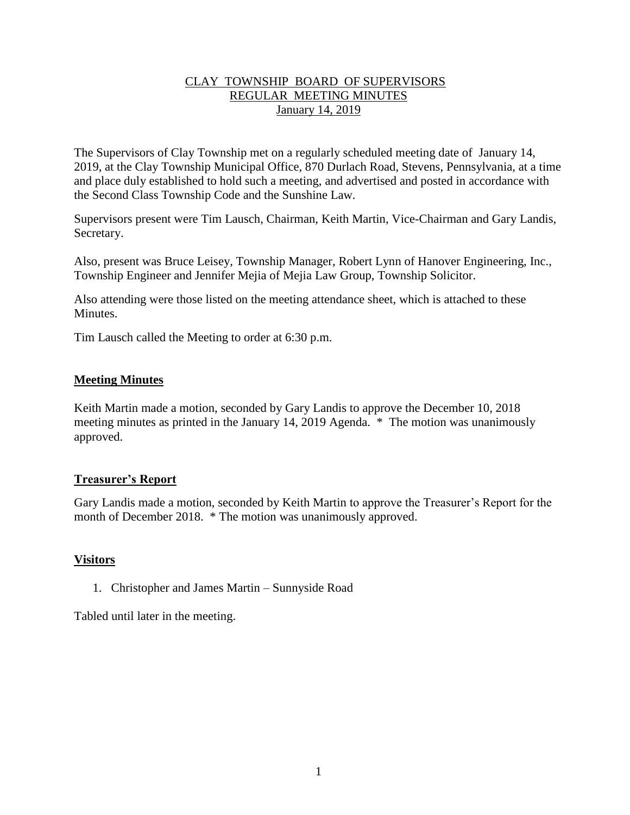#### CLAY TOWNSHIP BOARD OF SUPERVISORS REGULAR MEETING MINUTES January 14, 2019

The Supervisors of Clay Township met on a regularly scheduled meeting date of January 14, 2019, at the Clay Township Municipal Office, 870 Durlach Road, Stevens, Pennsylvania, at a time and place duly established to hold such a meeting, and advertised and posted in accordance with the Second Class Township Code and the Sunshine Law.

Supervisors present were Tim Lausch, Chairman, Keith Martin, Vice-Chairman and Gary Landis, Secretary.

Also, present was Bruce Leisey, Township Manager, Robert Lynn of Hanover Engineering, Inc., Township Engineer and Jennifer Mejia of Mejia Law Group, Township Solicitor.

Also attending were those listed on the meeting attendance sheet, which is attached to these **Minutes** 

Tim Lausch called the Meeting to order at 6:30 p.m.

#### **Meeting Minutes**

Keith Martin made a motion, seconded by Gary Landis to approve the December 10, 2018 meeting minutes as printed in the January 14, 2019 Agenda. \* The motion was unanimously approved.

#### **Treasurer's Report**

Gary Landis made a motion, seconded by Keith Martin to approve the Treasurer's Report for the month of December 2018. \* The motion was unanimously approved.

### **Visitors**

1. Christopher and James Martin – Sunnyside Road

Tabled until later in the meeting.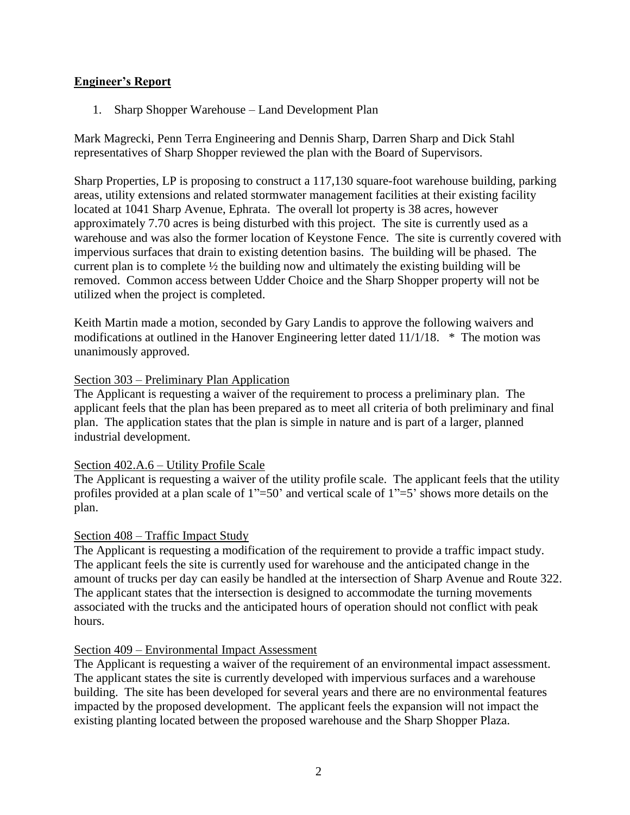### **Engineer's Report**

1. Sharp Shopper Warehouse – Land Development Plan

Mark Magrecki, Penn Terra Engineering and Dennis Sharp, Darren Sharp and Dick Stahl representatives of Sharp Shopper reviewed the plan with the Board of Supervisors.

Sharp Properties, LP is proposing to construct a 117,130 square-foot warehouse building, parking areas, utility extensions and related stormwater management facilities at their existing facility located at 1041 Sharp Avenue, Ephrata. The overall lot property is 38 acres, however approximately 7.70 acres is being disturbed with this project. The site is currently used as a warehouse and was also the former location of Keystone Fence. The site is currently covered with impervious surfaces that drain to existing detention basins. The building will be phased. The current plan is to complete ½ the building now and ultimately the existing building will be removed. Common access between Udder Choice and the Sharp Shopper property will not be utilized when the project is completed.

Keith Martin made a motion, seconded by Gary Landis to approve the following waivers and modifications at outlined in the Hanover Engineering letter dated 11/1/18. \* The motion was unanimously approved.

#### Section 303 – Preliminary Plan Application

The Applicant is requesting a waiver of the requirement to process a preliminary plan. The applicant feels that the plan has been prepared as to meet all criteria of both preliminary and final plan. The application states that the plan is simple in nature and is part of a larger, planned industrial development.

#### Section 402.A.6 – Utility Profile Scale

The Applicant is requesting a waiver of the utility profile scale. The applicant feels that the utility profiles provided at a plan scale of  $1"=50'$  and vertical scale of  $1"=5'$  shows more details on the plan.

#### Section 408 – Traffic Impact Study

The Applicant is requesting a modification of the requirement to provide a traffic impact study. The applicant feels the site is currently used for warehouse and the anticipated change in the amount of trucks per day can easily be handled at the intersection of Sharp Avenue and Route 322. The applicant states that the intersection is designed to accommodate the turning movements associated with the trucks and the anticipated hours of operation should not conflict with peak hours.

#### Section 409 – Environmental Impact Assessment

The Applicant is requesting a waiver of the requirement of an environmental impact assessment. The applicant states the site is currently developed with impervious surfaces and a warehouse building. The site has been developed for several years and there are no environmental features impacted by the proposed development. The applicant feels the expansion will not impact the existing planting located between the proposed warehouse and the Sharp Shopper Plaza.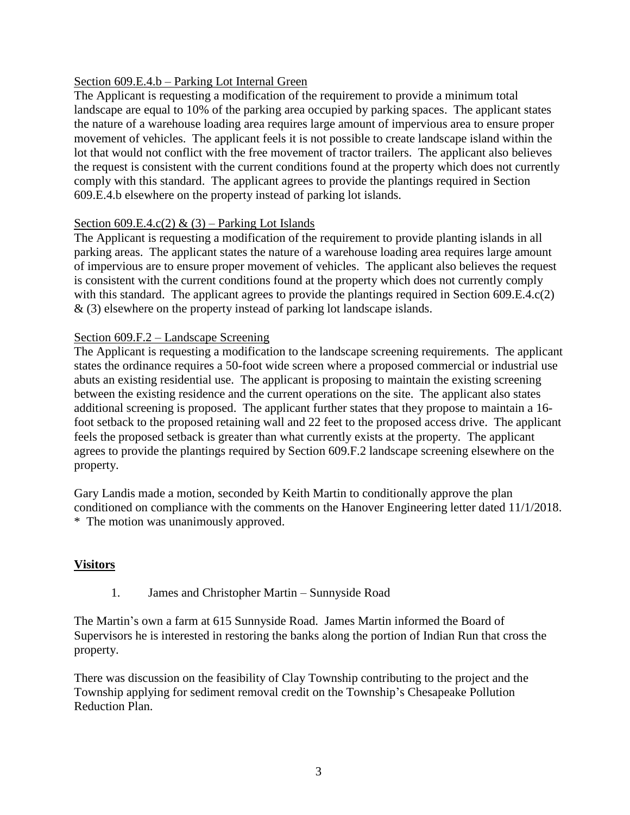### Section 609.E.4.b – Parking Lot Internal Green

The Applicant is requesting a modification of the requirement to provide a minimum total landscape are equal to 10% of the parking area occupied by parking spaces. The applicant states the nature of a warehouse loading area requires large amount of impervious area to ensure proper movement of vehicles. The applicant feels it is not possible to create landscape island within the lot that would not conflict with the free movement of tractor trailers. The applicant also believes the request is consistent with the current conditions found at the property which does not currently comply with this standard. The applicant agrees to provide the plantings required in Section 609.E.4.b elsewhere on the property instead of parking lot islands.

#### Section 609.E.4.c(2) & (3) – Parking Lot Islands

The Applicant is requesting a modification of the requirement to provide planting islands in all parking areas. The applicant states the nature of a warehouse loading area requires large amount of impervious are to ensure proper movement of vehicles. The applicant also believes the request is consistent with the current conditions found at the property which does not currently comply with this standard. The applicant agrees to provide the plantings required in Section 609.E.4.c(2) & (3) elsewhere on the property instead of parking lot landscape islands.

#### Section 609.F.2 – Landscape Screening

The Applicant is requesting a modification to the landscape screening requirements. The applicant states the ordinance requires a 50-foot wide screen where a proposed commercial or industrial use abuts an existing residential use. The applicant is proposing to maintain the existing screening between the existing residence and the current operations on the site. The applicant also states additional screening is proposed. The applicant further states that they propose to maintain a 16 foot setback to the proposed retaining wall and 22 feet to the proposed access drive. The applicant feels the proposed setback is greater than what currently exists at the property. The applicant agrees to provide the plantings required by Section 609.F.2 landscape screening elsewhere on the property.

Gary Landis made a motion, seconded by Keith Martin to conditionally approve the plan conditioned on compliance with the comments on the Hanover Engineering letter dated 11/1/2018. \* The motion was unanimously approved.

#### **Visitors**

1. James and Christopher Martin – Sunnyside Road

The Martin's own a farm at 615 Sunnyside Road. James Martin informed the Board of Supervisors he is interested in restoring the banks along the portion of Indian Run that cross the property.

There was discussion on the feasibility of Clay Township contributing to the project and the Township applying for sediment removal credit on the Township's Chesapeake Pollution Reduction Plan.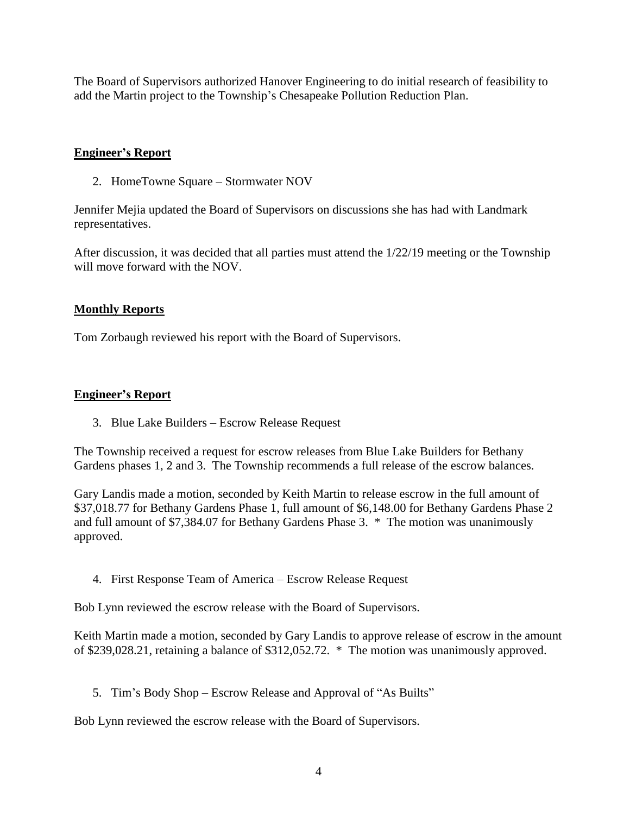The Board of Supervisors authorized Hanover Engineering to do initial research of feasibility to add the Martin project to the Township's Chesapeake Pollution Reduction Plan.

## **Engineer's Report**

2. HomeTowne Square – Stormwater NOV

Jennifer Mejia updated the Board of Supervisors on discussions she has had with Landmark representatives.

After discussion, it was decided that all parties must attend the 1/22/19 meeting or the Township will move forward with the NOV.

### **Monthly Reports**

Tom Zorbaugh reviewed his report with the Board of Supervisors.

# **Engineer's Report**

3. Blue Lake Builders – Escrow Release Request

The Township received a request for escrow releases from Blue Lake Builders for Bethany Gardens phases 1, 2 and 3. The Township recommends a full release of the escrow balances.

Gary Landis made a motion, seconded by Keith Martin to release escrow in the full amount of \$37,018.77 for Bethany Gardens Phase 1, full amount of \$6,148.00 for Bethany Gardens Phase 2 and full amount of \$7,384.07 for Bethany Gardens Phase 3. \* The motion was unanimously approved.

4. First Response Team of America – Escrow Release Request

Bob Lynn reviewed the escrow release with the Board of Supervisors.

Keith Martin made a motion, seconded by Gary Landis to approve release of escrow in the amount of \$239,028.21, retaining a balance of \$312,052.72. \* The motion was unanimously approved.

5. Tim's Body Shop – Escrow Release and Approval of "As Builts"

Bob Lynn reviewed the escrow release with the Board of Supervisors.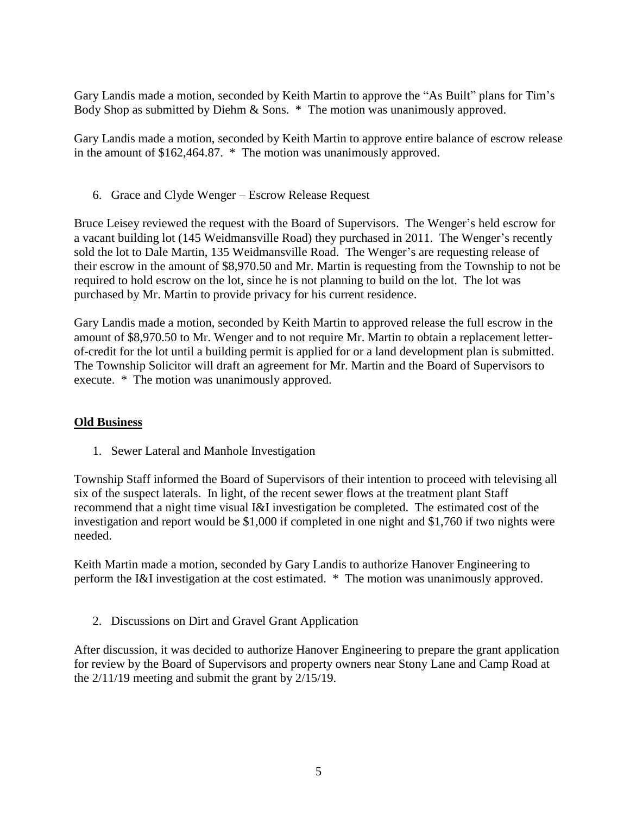Gary Landis made a motion, seconded by Keith Martin to approve the "As Built" plans for Tim's Body Shop as submitted by Diehm & Sons. \* The motion was unanimously approved.

Gary Landis made a motion, seconded by Keith Martin to approve entire balance of escrow release in the amount of \$162,464.87. \* The motion was unanimously approved.

6. Grace and Clyde Wenger – Escrow Release Request

Bruce Leisey reviewed the request with the Board of Supervisors. The Wenger's held escrow for a vacant building lot (145 Weidmansville Road) they purchased in 2011. The Wenger's recently sold the lot to Dale Martin, 135 Weidmansville Road. The Wenger's are requesting release of their escrow in the amount of \$8,970.50 and Mr. Martin is requesting from the Township to not be required to hold escrow on the lot, since he is not planning to build on the lot. The lot was purchased by Mr. Martin to provide privacy for his current residence.

Gary Landis made a motion, seconded by Keith Martin to approved release the full escrow in the amount of \$8,970.50 to Mr. Wenger and to not require Mr. Martin to obtain a replacement letterof-credit for the lot until a building permit is applied for or a land development plan is submitted. The Township Solicitor will draft an agreement for Mr. Martin and the Board of Supervisors to execute. \* The motion was unanimously approved.

### **Old Business**

1. Sewer Lateral and Manhole Investigation

Township Staff informed the Board of Supervisors of their intention to proceed with televising all six of the suspect laterals. In light, of the recent sewer flows at the treatment plant Staff recommend that a night time visual I&I investigation be completed. The estimated cost of the investigation and report would be \$1,000 if completed in one night and \$1,760 if two nights were needed.

Keith Martin made a motion, seconded by Gary Landis to authorize Hanover Engineering to perform the I&I investigation at the cost estimated. \* The motion was unanimously approved.

2. Discussions on Dirt and Gravel Grant Application

After discussion, it was decided to authorize Hanover Engineering to prepare the grant application for review by the Board of Supervisors and property owners near Stony Lane and Camp Road at the 2/11/19 meeting and submit the grant by 2/15/19.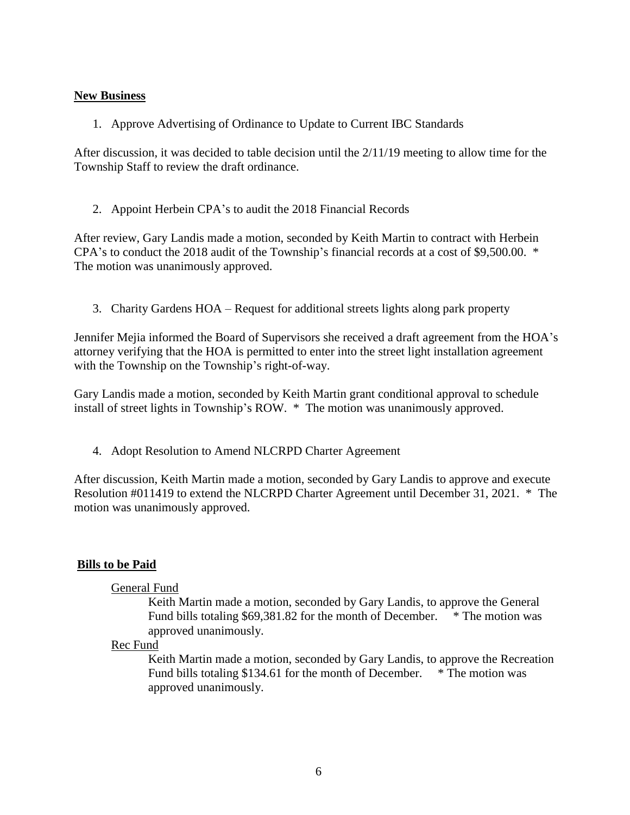#### **New Business**

1. Approve Advertising of Ordinance to Update to Current IBC Standards

After discussion, it was decided to table decision until the 2/11/19 meeting to allow time for the Township Staff to review the draft ordinance.

2. Appoint Herbein CPA's to audit the 2018 Financial Records

After review, Gary Landis made a motion, seconded by Keith Martin to contract with Herbein CPA's to conduct the 2018 audit of the Township's financial records at a cost of \$9,500.00. \* The motion was unanimously approved.

3. Charity Gardens HOA – Request for additional streets lights along park property

Jennifer Mejia informed the Board of Supervisors she received a draft agreement from the HOA's attorney verifying that the HOA is permitted to enter into the street light installation agreement with the Township on the Township's right-of-way.

Gary Landis made a motion, seconded by Keith Martin grant conditional approval to schedule install of street lights in Township's ROW. \* The motion was unanimously approved.

4. Adopt Resolution to Amend NLCRPD Charter Agreement

After discussion, Keith Martin made a motion, seconded by Gary Landis to approve and execute Resolution #011419 to extend the NLCRPD Charter Agreement until December 31, 2021. \* The motion was unanimously approved.

### **Bills to be Paid**

### General Fund

Keith Martin made a motion, seconded by Gary Landis, to approve the General Fund bills totaling \$69,381.82 for the month of December. \* The motion was approved unanimously.

### Rec Fund

Keith Martin made a motion, seconded by Gary Landis, to approve the Recreation Fund bills totaling \$134.61 for the month of December. \* The motion was approved unanimously.